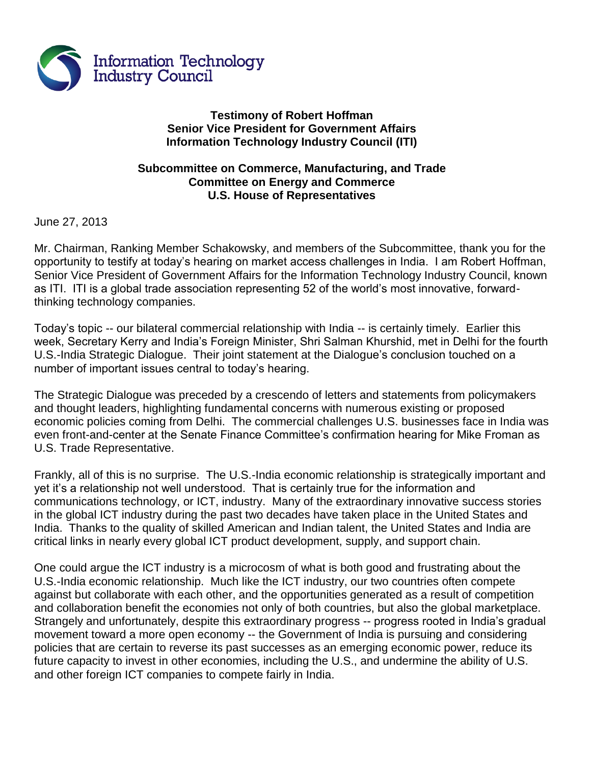

## **Testimony of Robert Hoffman Senior Vice President for Government Affairs Information Technology Industry Council (ITI)**

## **Subcommittee on Commerce, Manufacturing, and Trade Committee on Energy and Commerce U.S. House of Representatives**

June 27, 2013

Mr. Chairman, Ranking Member Schakowsky, and members of the Subcommittee, thank you for the opportunity to testify at today's hearing on market access challenges in India. I am Robert Hoffman, Senior Vice President of Government Affairs for the Information Technology Industry Council, known as ITI. ITI is a global trade association representing 52 of the world's most innovative, forwardthinking technology companies.

Today's topic -- our bilateral commercial relationship with India -- is certainly timely. Earlier this week, Secretary Kerry and India's Foreign Minister, Shri Salman Khurshid, met in Delhi for the fourth U.S.-India Strategic Dialogue. Their joint statement at the Dialogue's conclusion touched on a number of important issues central to today's hearing.

The Strategic Dialogue was preceded by a crescendo of letters and statements from policymakers and thought leaders, highlighting fundamental concerns with numerous existing or proposed economic policies coming from Delhi. The commercial challenges U.S. businesses face in India was even front-and-center at the Senate Finance Committee's confirmation hearing for Mike Froman as U.S. Trade Representative.

Frankly, all of this is no surprise. The U.S.-India economic relationship is strategically important and yet it's a relationship not well understood. That is certainly true for the information and communications technology, or ICT, industry. Many of the extraordinary innovative success stories in the global ICT industry during the past two decades have taken place in the United States and India. Thanks to the quality of skilled American and Indian talent, the United States and India are critical links in nearly every global ICT product development, supply, and support chain.

One could argue the ICT industry is a microcosm of what is both good and frustrating about the U.S.-India economic relationship. Much like the ICT industry, our two countries often compete against but collaborate with each other, and the opportunities generated as a result of competition and collaboration benefit the economies not only of both countries, but also the global marketplace. Strangely and unfortunately, despite this extraordinary progress -- progress rooted in India's gradual movement toward a more open economy -- the Government of India is pursuing and considering policies that are certain to reverse its past successes as an emerging economic power, reduce its future capacity to invest in other economies, including the U.S., and undermine the ability of U.S. and other foreign ICT companies to compete fairly in India.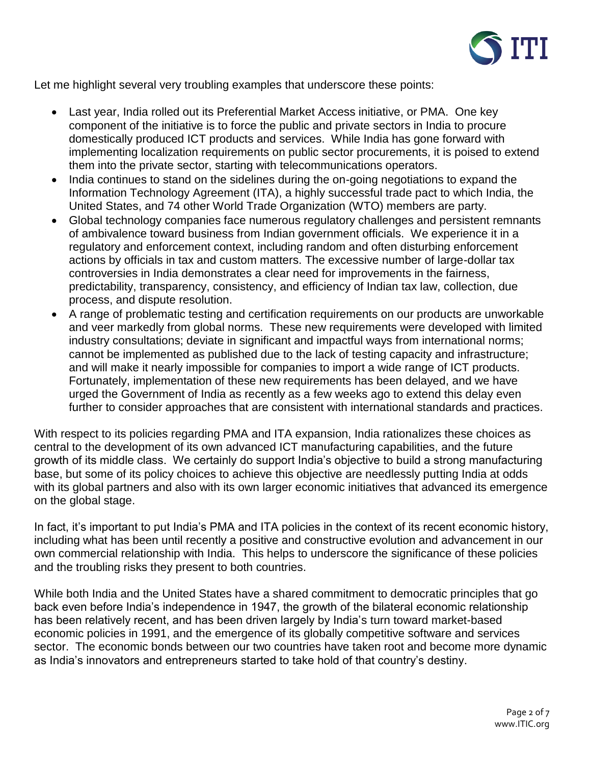

Let me highlight several very troubling examples that underscore these points:

- Last year, India rolled out its Preferential Market Access initiative, or PMA. One key component of the initiative is to force the public and private sectors in India to procure domestically produced ICT products and services. While India has gone forward with implementing localization requirements on public sector procurements, it is poised to extend them into the private sector, starting with telecommunications operators.
- India continues to stand on the sidelines during the on-going negotiations to expand the Information Technology Agreement (ITA), a highly successful trade pact to which India, the United States, and 74 other World Trade Organization (WTO) members are party.
- Global technology companies face numerous regulatory challenges and persistent remnants of ambivalence toward business from Indian government officials. We experience it in a regulatory and enforcement context, including random and often disturbing enforcement actions by officials in tax and custom matters. The excessive number of large-dollar tax controversies in India demonstrates a clear need for improvements in the fairness, predictability, transparency, consistency, and efficiency of Indian tax law, collection, due process, and dispute resolution.
- A range of problematic testing and certification requirements on our products are unworkable and veer markedly from global norms. These new requirements were developed with limited industry consultations; deviate in significant and impactful ways from international norms; cannot be implemented as published due to the lack of testing capacity and infrastructure; and will make it nearly impossible for companies to import a wide range of ICT products. Fortunately, implementation of these new requirements has been delayed, and we have urged the Government of India as recently as a few weeks ago to extend this delay even further to consider approaches that are consistent with international standards and practices.

With respect to its policies regarding PMA and ITA expansion, India rationalizes these choices as central to the development of its own advanced ICT manufacturing capabilities, and the future growth of its middle class. We certainly do support India's objective to build a strong manufacturing base, but some of its policy choices to achieve this objective are needlessly putting India at odds with its global partners and also with its own larger economic initiatives that advanced its emergence on the global stage.

In fact, it's important to put India's PMA and ITA policies in the context of its recent economic history, including what has been until recently a positive and constructive evolution and advancement in our own commercial relationship with India. This helps to underscore the significance of these policies and the troubling risks they present to both countries.

While both India and the United States have a shared commitment to democratic principles that go back even before India's independence in 1947, the growth of the bilateral economic relationship has been relatively recent, and has been driven largely by India's turn toward market-based economic policies in 1991, and the emergence of its globally competitive software and services sector. The economic bonds between our two countries have taken root and become more dynamic as India's innovators and entrepreneurs started to take hold of that country's destiny.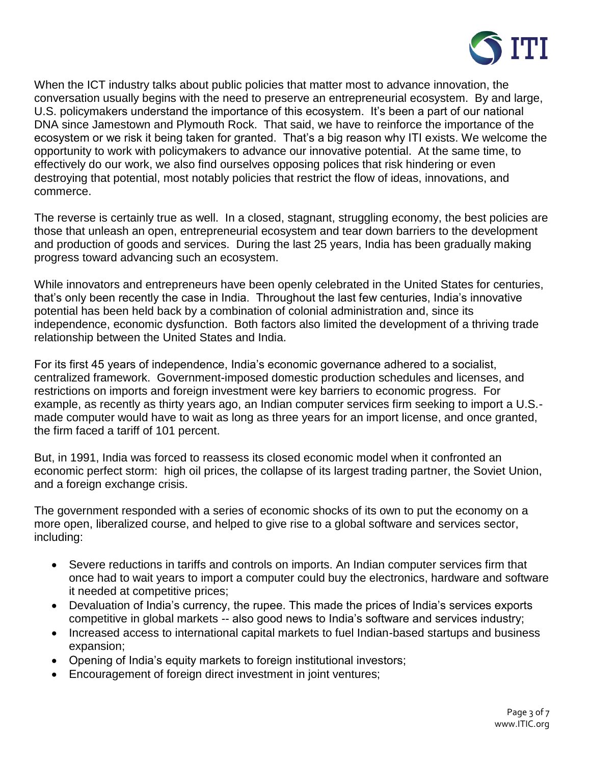

When the ICT industry talks about public policies that matter most to advance innovation, the conversation usually begins with the need to preserve an entrepreneurial ecosystem. By and large, U.S. policymakers understand the importance of this ecosystem. It's been a part of our national DNA since Jamestown and Plymouth Rock. That said, we have to reinforce the importance of the ecosystem or we risk it being taken for granted. That's a big reason why ITI exists. We welcome the opportunity to work with policymakers to advance our innovative potential. At the same time, to effectively do our work, we also find ourselves opposing polices that risk hindering or even destroying that potential, most notably policies that restrict the flow of ideas, innovations, and commerce.

The reverse is certainly true as well. In a closed, stagnant, struggling economy, the best policies are those that unleash an open, entrepreneurial ecosystem and tear down barriers to the development and production of goods and services. During the last 25 years, India has been gradually making progress toward advancing such an ecosystem.

While innovators and entrepreneurs have been openly celebrated in the United States for centuries, that's only been recently the case in India. Throughout the last few centuries, India's innovative potential has been held back by a combination of colonial administration and, since its independence, economic dysfunction. Both factors also limited the development of a thriving trade relationship between the United States and India.

For its first 45 years of independence, India's economic governance adhered to a socialist, centralized framework. Government-imposed domestic production schedules and licenses, and restrictions on imports and foreign investment were key barriers to economic progress. For example, as recently as thirty years ago, an Indian computer services firm seeking to import a U.S. made computer would have to wait as long as three years for an import license, and once granted, the firm faced a tariff of 101 percent.

But, in 1991, India was forced to reassess its closed economic model when it confronted an economic perfect storm: high oil prices, the collapse of its largest trading partner, the Soviet Union, and a foreign exchange crisis.

The government responded with a series of economic shocks of its own to put the economy on a more open, liberalized course, and helped to give rise to a global software and services sector, including:

- Severe reductions in tariffs and controls on imports. An Indian computer services firm that once had to wait years to import a computer could buy the electronics, hardware and software it needed at competitive prices;
- Devaluation of India's currency, the rupee. This made the prices of India's services exports competitive in global markets -- also good news to India's software and services industry;
- Increased access to international capital markets to fuel Indian-based startups and business expansion;
- Opening of India's equity markets to foreign institutional investors;
- Encouragement of foreign direct investment in joint ventures;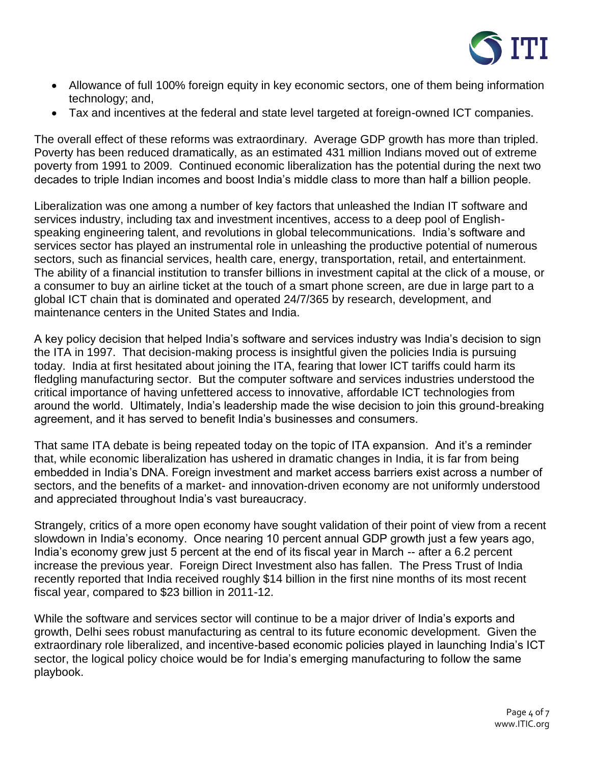

- Allowance of full 100% foreign equity in key economic sectors, one of them being information technology; and,
- Tax and incentives at the federal and state level targeted at foreign-owned ICT companies.

The overall effect of these reforms was extraordinary. Average GDP growth has more than tripled. Poverty has been reduced dramatically, as an estimated 431 million Indians moved out of extreme poverty from 1991 to 2009. Continued economic liberalization has the potential during the next two decades to triple Indian incomes and boost India's middle class to more than half a billion people.

Liberalization was one among a number of key factors that unleashed the Indian IT software and services industry, including tax and investment incentives, access to a deep pool of Englishspeaking engineering talent, and revolutions in global telecommunications. India's software and services sector has played an instrumental role in unleashing the productive potential of numerous sectors, such as financial services, health care, energy, transportation, retail, and entertainment. The ability of a financial institution to transfer billions in investment capital at the click of a mouse, or a consumer to buy an airline ticket at the touch of a smart phone screen, are due in large part to a global ICT chain that is dominated and operated 24/7/365 by research, development, and maintenance centers in the United States and India.

A key policy decision that helped India's software and services industry was India's decision to sign the ITA in 1997. That decision-making process is insightful given the policies India is pursuing today. India at first hesitated about joining the ITA, fearing that lower ICT tariffs could harm its fledgling manufacturing sector. But the computer software and services industries understood the critical importance of having unfettered access to innovative, affordable ICT technologies from around the world. Ultimately, India's leadership made the wise decision to join this ground-breaking agreement, and it has served to benefit India's businesses and consumers.

That same ITA debate is being repeated today on the topic of ITA expansion. And it's a reminder that, while economic liberalization has ushered in dramatic changes in India, it is far from being embedded in India's DNA. Foreign investment and market access barriers exist across a number of sectors, and the benefits of a market- and innovation-driven economy are not uniformly understood and appreciated throughout India's vast bureaucracy.

Strangely, critics of a more open economy have sought validation of their point of view from a recent slowdown in India's economy. Once nearing 10 percent annual GDP growth just a few years ago, India's economy grew just 5 percent at the end of its fiscal year in March -- after a 6.2 percent increase the previous year. Foreign Direct Investment also has fallen. The Press Trust of India recently reported that India received roughly \$14 billion in the first nine months of its most recent fiscal year, compared to \$23 billion in 2011-12.

While the software and services sector will continue to be a major driver of India's exports and growth, Delhi sees robust manufacturing as central to its future economic development. Given the extraordinary role liberalized, and incentive-based economic policies played in launching India's ICT sector, the logical policy choice would be for India's emerging manufacturing to follow the same playbook.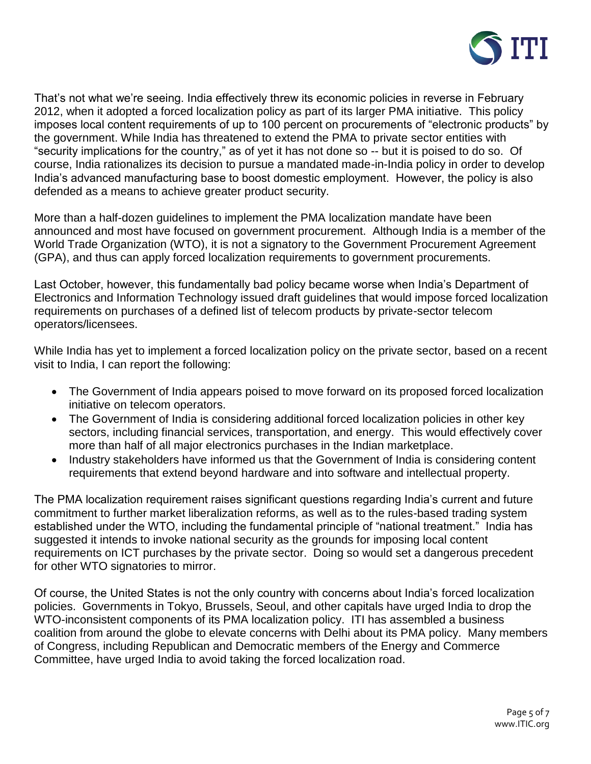

That's not what we're seeing. India effectively threw its economic policies in reverse in February 2012, when it adopted a forced localization policy as part of its larger PMA initiative. This policy imposes local content requirements of up to 100 percent on procurements of "electronic products" by the government. While India has threatened to extend the PMA to private sector entities with "security implications for the country," as of yet it has not done so -- but it is poised to do so. Of course, India rationalizes its decision to pursue a mandated made-in-India policy in order to develop India's advanced manufacturing base to boost domestic employment. However, the policy is also defended as a means to achieve greater product security.

More than a half-dozen guidelines to implement the PMA localization mandate have been announced and most have focused on government procurement. Although India is a member of the World Trade Organization (WTO), it is not a signatory to the Government Procurement Agreement (GPA), and thus can apply forced localization requirements to government procurements.

Last October, however, this fundamentally bad policy became worse when India's Department of Electronics and Information Technology issued draft guidelines that would impose forced localization requirements on purchases of a defined list of telecom products by private-sector telecom operators/licensees.

While India has yet to implement a forced localization policy on the private sector, based on a recent visit to India, I can report the following:

- The Government of India appears poised to move forward on its proposed forced localization initiative on telecom operators.
- The Government of India is considering additional forced localization policies in other key sectors, including financial services, transportation, and energy. This would effectively cover more than half of all major electronics purchases in the Indian marketplace.
- Industry stakeholders have informed us that the Government of India is considering content requirements that extend beyond hardware and into software and intellectual property.

The PMA localization requirement raises significant questions regarding India's current and future commitment to further market liberalization reforms, as well as to the rules-based trading system established under the WTO, including the fundamental principle of "national treatment." India has suggested it intends to invoke national security as the grounds for imposing local content requirements on ICT purchases by the private sector. Doing so would set a dangerous precedent for other WTO signatories to mirror.

Of course, the United States is not the only country with concerns about India's forced localization policies. Governments in Tokyo, Brussels, Seoul, and other capitals have urged India to drop the WTO-inconsistent components of its PMA localization policy. ITI has assembled a business coalition from around the globe to elevate concerns with Delhi about its PMA policy. Many members of Congress, including Republican and Democratic members of the Energy and Commerce Committee, have urged India to avoid taking the forced localization road.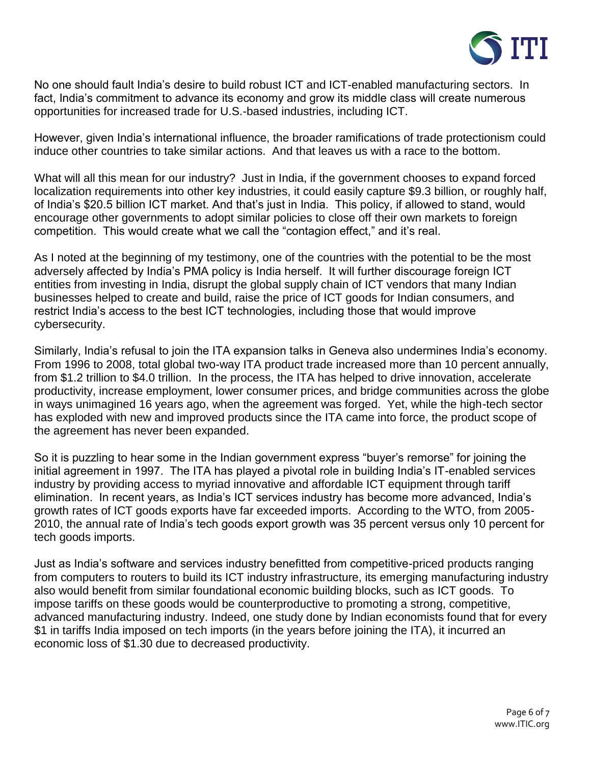

No one should fault India's desire to build robust ICT and ICT-enabled manufacturing sectors. In fact, India's commitment to advance its economy and grow its middle class will create numerous opportunities for increased trade for U.S.-based industries, including ICT.

However, given India's international influence, the broader ramifications of trade protectionism could induce other countries to take similar actions. And that leaves us with a race to the bottom.

What will all this mean for our industry? Just in India, if the government chooses to expand forced localization requirements into other key industries, it could easily capture \$9.3 billion, or roughly half, of India's \$20.5 billion ICT market. And that's just in India. This policy, if allowed to stand, would encourage other governments to adopt similar policies to close off their own markets to foreign competition. This would create what we call the "contagion effect," and it's real.

As I noted at the beginning of my testimony, one of the countries with the potential to be the most adversely affected by India's PMA policy is India herself. It will further discourage foreign ICT entities from investing in India, disrupt the global supply chain of ICT vendors that many Indian businesses helped to create and build, raise the price of ICT goods for Indian consumers, and restrict India's access to the best ICT technologies, including those that would improve cybersecurity.

Similarly, India's refusal to join the ITA expansion talks in Geneva also undermines India's economy. From 1996 to 2008, total global two-way ITA product trade increased more than 10 percent annually, from \$1.2 trillion to \$4.0 trillion. In the process, the ITA has helped to drive innovation, accelerate productivity, increase employment, lower consumer prices, and bridge communities across the globe in ways unimagined 16 years ago, when the agreement was forged. Yet, while the high-tech sector has exploded with new and improved products since the ITA came into force, the product scope of the agreement has never been expanded.

So it is puzzling to hear some in the Indian government express "buyer's remorse" for joining the initial agreement in 1997. The ITA has played a pivotal role in building India's IT-enabled services industry by providing access to myriad innovative and affordable ICT equipment through tariff elimination. In recent years, as India's ICT services industry has become more advanced, India's growth rates of ICT goods exports have far exceeded imports. According to the WTO, from 2005- 2010, the annual rate of India's tech goods export growth was 35 percent versus only 10 percent for tech goods imports.

Just as India's software and services industry benefitted from competitive-priced products ranging from computers to routers to build its ICT industry infrastructure, its emerging manufacturing industry also would benefit from similar foundational economic building blocks, such as ICT goods. To impose tariffs on these goods would be counterproductive to promoting a strong, competitive, advanced manufacturing industry. Indeed, one study done by Indian economists found that for every \$1 in tariffs India imposed on tech imports (in the years before joining the ITA), it incurred an economic loss of \$1.30 due to decreased productivity.